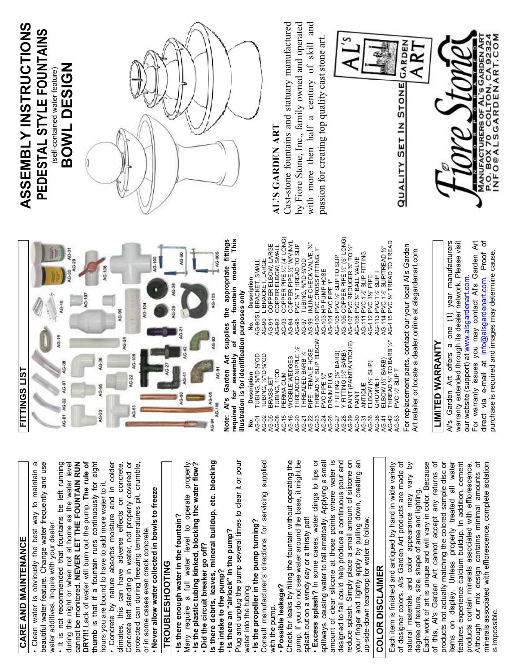# **CARE AND MAINTENANCE**  CARE AND MAINTENANCE

• Clean water is obviously the best way to maintain a beautiful water feature. Change water frequently and use beautiful water feature. Change water frequently and use Clean water is obviously the best way to maintain water additives. Inquire with your dealer. water additives. Inquire with your dealer.

• It is not recommended that fountains be left running during the night or when not at home as the water level cannot be monitored. **NEVER LET THE FOUNTAIN RUN DRY!!!** Lack of water will burn out the pump. **The rule of thumb** is that if a fountain runs continuously for eight DRY!!! Lack of water will burn out the pump. The rule of . It is not recommended that fountains be left running during the night or when not at home as the water level cannot be monitored. NEVER LET THE FOUNTAIN RUN thumb is that if a fountain runs continuously for eight hours you are bound to have to add more water to it. hours you are bound to have to add more water to it.

climates, this can have adverse effects on concrete. Concrete left standing in water, not properly covered or protected can during freezing temperatures pit, crumble, • Concrete by nature absorbs moisture and in colder Concrete left standing in water, not properly covered or protected can during freezing temperatures pit, crumble, · Concrete by nature absorbs moisture and in colder climates, this can have adverse effects on concrete. or in some cases even crack concrete. or in some cases even crack concrete.

Never allow water collected in bowls to freeze • **Never allow water collected in bowls to freeze**

## **TROUBLESHOOTING TROUBLESHOOTING**

• **Is there enough water in the fountain?**  . Is there enough water in the fountain?

Many require a full water level to operate properly. Many require a full water level to operate properly.<br>• Is the plastic tubing kinked, blocking the water flow? • **Is the plastic tubing kinked, blocking the water flow?**  Many require a full water level to operate • **Did the circuit breaker go off?**  . Did the circuit breaker go off?

**Is there debris, leaves, mineral buildup, etc. blocking**  Is there debris, leaves, mineral buildup, etc. blocking **the intake to the pump?**  the intake to the pump?

. Is there an "airlock" in the pump? • **Is there an "airlock" in the pump?** 

Plug and unplug the pump several times to clear it or pour Plug and unplug the pump several times to clear it or pour water into the tubing. water into the tubing.

• **Is the propeller in the pump turning?**  . Is the propeller in the pump turning?

Consult manufacturer's directions for servicing supplied Consult manufacturer's directions for servicing supplied with the pump. with the pump.

· Possible leakage? • **Possible leakage?**

Check for leaks by filling the fountain without operating the pump. If you do not see water around the base, it might be Check for leaks by filling the fountain without operating the pump. If you do not see water around the base, it might be splash out on a windy day or a thirsty pet! splash out on a windy day or a thirsty pet!

• **Excess splash?** In some cases, water clings to lips or spillways, causing water to fall erratically. Applying a small amount of clear silicone at those points where water is designed to fall could help produce a continuous pour and reduce splash. Simply place a small amount of silicone on your finger and lightly apply by pulling down, creating an · Excess splash? In some cases, water clings to lips or amount of clear silicone at those points where water is reduce splash. Simply place a small amount of silicone on spillways, causing water to fall erratically. Applying a small designed to fall could help produce a continuous pour and your finger and lightly apply by pulling down, creating an up-side-down teardrop for water to follow. up-side-down teardrop for water to follow.

## **COLOR DISCLAIMER COLOR DISCLAIMER**

of designer colors. Al's Garden Art products are made of natural materials and color appearance may vary by Each work of art is unique and will vary in color. Because Each item is finished and antiqued by hand in wide variety degree of texture, size, shape of area and lighting.<br>Each work of art is unique and will vary in color. Because of designer colors. Al's Garden Art products are made of natural materials and color appearance may vary by Each item is finished and antiqued by hand in wide variety degree of texture, size, shape of area and lighting.

of this, Al's Garden Art cannot accept any returns of products not actually matching the colored sample disc or items on display. Unless properly treated all water features experience calcium buildup. In addition, cement products contain minerals associated with efflorescence. Although our mix design contains minimal amounts of minerals associated with efflorescence, complete isolation products not actually matching the colored sample disc or Although our mix design contains minimal amounts of minerals associated with efflorescence, complete isolation of this, Al's Garden Art cannot accept any returns of tems on display. Unless properly treated all water features experience calcium buildup. In addition, cement products contain minerals associated with efflorescence. is impossible. s impossible



**Note: Al's Garden Art supplies the appropriate fittings**  of each fountain model. This **required for assembly of each fountain model. This**  Garden Art supplies the appropriate fittings **illustration is for identification purposes only**  required for assembly Note: Al's

|                           | illustration is for identification purposes only |        |                                                                 |
|---------------------------|--------------------------------------------------|--------|-----------------------------------------------------------------|
| ġ                         | <b>Description</b>                               | ş      | Description                                                     |
| AG-01                     | TUBING, %"ID %"OD                                |        | AG-90S L BRACKET, SMALL                                         |
| AG-02                     | TUBING, 1/2"ID %"OD                              | AG-90  | L BRACKET, LARGE                                                |
| AG-05                     | <b>BRASS JET</b>                                 | AG-91  | COPPER ELBOW, LARGE                                             |
| AG-08                     | TUBING, 1"OD                                     | AG-92  | COPPER ELBOW, SMALL                                             |
| AG-15                     | PERMA GUM                                        | AG-93  | COPPER PIPE ½" (4" LONG)<br>COPPER PIPE ½" W/VINYL              |
| AG-16                     | WOBBLE WEDGES                                    | AG-94  |                                                                 |
| AG-20                     | THREADED NIPPLE 1/2"                             | AG-95  | PVC 1/2" THREAD TO SLIP                                         |
|                           | THREADED BARB %"                                 | AG-97  | <b>TUBING, %"ID %"OD</b>                                        |
|                           | PIPE - FEMALE HOSE                               | AG-99  | NLINE CHECK VALVE, %"                                           |
| 21<br>2233<br>4444<br>444 | THREAD %" SLIP ELBOW                             | AG-100 | PVC CROSS FITTING, 1"                                           |
|                           | PVC PIPE 1/2"                                    | AG-103 | HP PUMP HOSE                                                    |
| AG-26                     | <b>DRAIN PLUG</b>                                | AG-104 | PVC PIPE 1"                                                     |
| AG-27                     | [FITTING (1/2" BARB)                             | AG-105 | PVC %" SLIP TO SLIP                                             |
|                           | Y FITTING (1/2" BARB)                            | AG-106 | COPPER PIPE 'A'' (6" LONG)<br>PVC REDUCER 'A'' TO 'A''          |
| AG-28<br>AG-29            | PAINT (PAINT/ANTIQUE)                            | AG-107 |                                                                 |
| AG-30                     | PAINT                                            | AG-108 |                                                                 |
| AG-31                     | ANTIQUE                                          | AG-111 |                                                                 |
| AG-36                     | ELBOW (%" SLIP)                                  | AG-112 | 3 PVC ½" BALL VALVE<br>1 PVC 1½" SLIP FITTING<br>2 PVC 1½" PIPE |
| AG-38                     | GROMMET                                          | AG-113 | PVC 11/2" SLIP T                                                |
| AG-41                     | ELBOW (%"BARB)                                   | AG-114 | PVC 11/2" SLIP/TREAD 1/2"                                       |
| AG-42                     | THREAD 1/2" TO BARB 1/2"                         |        | AG-115 PVC %" TREAD TO TREAD                                    |
| AG-53                     | PVC %" SLIP T                                    |        |                                                                 |
|                           |                                                  |        | $\sim$ 1.0 $\sim$ 1.1                                           |

For replacement parts, contact our your local Al's Garden For replacement parts, contact our local Al's Garden Art retailer or locate a dealer online at alsgardenart.com Art retailer or locate a dealer online at alsgardenart.com

### **LIMITED WARRANTY** <u> FIMILED MVKKVNLA</u>

Al's Garden Art offers a one (1) year manufacturers warranty extended through its dealer network. Please visit For warranty issues you may contact Al's Garden Art direct via e-mail at info@alsgardenart.com. Proof of direct via e-mail at info@alsgardenart.com. Proof of Al's Garden Art offers a one (1) year manufacturers For warranty issues you may contact Al's Garden Art warranty extended through its dealer network. Please visit purchase is required and images may determine cause. purchase is required and images may determine cause. our website (support) at www.alsgardenart.com. our website (support) at www.alsgardenart.com.

#### **ASSEMBLY INSTRUCTIONS**  ASSEMBLY INSTRUCTIONS PEDESTAL STYLE FOUNTAINS **PEDESTAL STYLE FOUNTAINS BOWL DESIGN**  BOWL DESIGN (self-contained water feature) self-contained water feature)



## **AL'S GARDEN ART**  AL'S GARDEN ART

Cast-stone fountains and statuary manufactured Cast-stone fountains and statuary manufactured ್ಲ d with more then half a century of skill an by Fiore Stone, Inc., family owned and operate passion for creating top quality cast stone art. passion for creating top quality cast stone art.

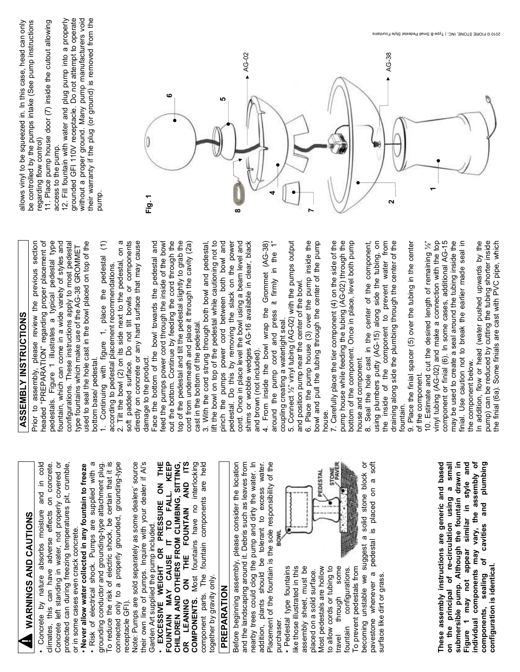WARNINGS AND CAUTIONS  **WARNINGS AND CAUTIONS**

• Concrete by nature absorbs moisture and in cold climates, this can have adverse effects on concrete. Concrete left standing in water, not properly covered or protected can during freezing temperatures pit, crumble, protected can during freezing temperatures pit, crumble, • Concrete by nature absorbs moisture and in cold Concrete left standing in water, not properly covered or Never allow water collected in any fountain to freeze dimates, this can have adverse effects on concrete or in some cases even crack concrete. or in some cases even crack concrete.

To reduce the risk of electric shock, be certain that it is Risk of electrical shock. Pumps are supplied with a • Risk of electrical shock. Pumps are supplied with a grounding conductor and grounding-type attachment plug. To reduce the risk of electric shock, be certain that it is connected only to a properly grounded, grounding-type connected only to a properly grounded, grounding-type • **Never allow water collected in any fountain to freeze**  grounding conductor and grounding-type attachment plug. receptacle GFI). receptacle GFI)

Note: Pumps are sold separately as some dealers' source their own line of pumps. Inquire with your dealer if Al's Garden Art supplied the pump included.<br>• EXCESSIVE WEIGHT OR PRESSURE ON THE Note: Pumps are sold separately as some dealers' source their own line of pumps. Inquire with your dealer if Al's Garden Art supplied the pump included.

• **EXCESSIVE WEIGHT OR PRESSURE ON THE FOUNTAIN MAY CAUSE IT TO FALL. KEEP CHILDREN AND OTHERS FROM CLIMBING, SITTING, OR LEANING ON THE FOUNTAIN AND ITS COMPONENTS.** Most fountains have no interlocking component parts. The fountain components are held FOUNTAIN MAY CAUSE IT TO FALL. KEEP OR LEANING ON THE FOUNTAIN AND ITS fountains have no interlocking CHILDREN AND OTHERS FROM CLIMBING, SITTING, component parts. The fountain components are held COMPONENTS. Most together by gravity only. cogether by gravity only.

#### PREPARATION **PREPARATION**

Before beginning assembly, please consider the location and the landscaping around it. Debris such as leaves from addition, plants should be tolerant to excess water. Placement of the fountain is the sole responsibility of the nearby trees could clog the pump and dirty the water. In nearby trees could clog the pump and dirty the water. In Placement of the fountain is the sole responsibility of the Before beginning assembly, please consider the location and the landscaping around it. Debris such as leaves from addition, plants should be tolerant to excess water. **BOWL** purchaser. purchaser.

· Pedestal type fountains • Pedestal type fountains like those illustrated in this assembly sheet, must be assembly sheet, must be Most pedestals are hollow to allow cords or tubing to to allow cords or tubing to some travel through some configurations. fountain configurations. To prevent pedestals from To prevent pedestals from ike those illustrated in this Most pedestals are hollow placed on a solid surface. placed on a solid surface. through fountain travel



becoming unstable we suggest a solid stone block or pavestone whenever a pedestal is placed on a soft pavestone whenever a pedestal is placed on a soft ŏ becoming unstable we suggest a solid stone block surface like dirt or grass. surface like dirt or grass.

**These assembly instructions are generic and based on the principal of re-circulation using a small submersible pump. Although the fountain drawn in individual components may vary, the assembly of components, sealing of cavities and plumbing**  submersible pump. Although the fountain drawn in Figure 1 may not appear similar in style and **Figure 1 may not appear similar in style and**  individual components may vary, the assembly of components, sealing of cavities and plumbing These assembly instructions are generic and based on the principal of re-circulation using a small **configuration is identical.**  configuration is identical.

## **ASSEMBLY INSTRUCTIONS ASSEMBLY INSTRUCTIONS**

Prior to assembly, please review the previous section headed "PREPARATION" regarding proper placement of pedestals. Figure 1 illustrates a typical pedestal type fountain, which can come in a wide variety of styles and configurations. These instructions apply to most pedestal used to seal the hole cast in the bowl placed on top of the Prior to assembly, please review the previous section headed "PREPARATION" regarding proper placement of pedestals. Figure 1 illustrates a typical pedestal type fountain, which can come in a wide variety of styles and configurations. These instructions apply to most pedestal used to seal the hole cast in the bowl placed on top of the type fountains which make use of the AG-38 GROMMET type fountains which make use of the AG-38 GROMMET

1. Continuing with figure 1, place the pedestal (1) pedestal (1) 1. Continuing with figure 1, place the bottom base/ pedestal. bottom base/ pedestal.

2. Tilt the bowl (2) on its side next to the pedestal, on a 2. Tilt the bowl (2) on its side next to the pedestal, on a soft padded surface. Do not tilt bowls or components soft padded surface. Do not tilt bowls or components directly on concrete or any hard surface that may cause directly on concrete or any hard surface that may cause according to pedestal placement recommendations. according to pedestal placement recommendations. damage to the product. damage to the product.

Face the bottom of the bowl towards the pedestal and feed the pumps power cord through the inside of the bowl out the bottom. Continue by feeding the cord through the top of the pedestal and tilt the pedestal slightly to grab the cord from underneath and place it through the cavity (2a) Face the bottom of the bowl towards the pedestal and out the bottom. Continue by feeding the cord through the top of the pedestal and tilt the pedestal slightly to grab the feed the pumps power cord through the inside of the bowl cord from underneath and place it through the cavity (2a) cast in the bottom of the pedestal. cast in the bottom of the pedestal.

3. With the cord strung through both bowl and pedestal, lift the bowl on top of the pedestal while cautioning not to 3. With the cord strung through both bowl and pedestal, lift the bowl on top of the pedestal while cautioning not to pinch the pumps power cord between both bowl and pedestal. Do this by removing the slack on the power cord. Once in place level the bowl using a beam level and shims or wobble wedges AG-16 available in clear, black pedestal. Do this by removing the slack on the power pinch the pumps power cord between both bowl and cord. Once in place level the bowl using a beam level and shims or wobble wedges AG-16 available in clear, black and brown (not included). and brown (not included).

4. From inside the bowl wrap the Grommet (AG-38) around the pump cord and press it firmly in the 1" 4. From inside the bowl wrap the Grommet (AG-38) around the pump cord and press it firmly in the 1" coupling creating a watertight seal. coupling creating a watertight seal.

5. Connect ½" vinyl tubing (AG-02) with the pumps output 6. Place the pump house (3) over the pump inside the bowl and pull the tubing through the center of the pump 5. Connect 1/2" vinyl tubing (AG-02) with the pumps output 6. Place the pump house (3) over the pump inside the bowl and pull the tubing through the center of the pump and position pump near the center of the bowl. and position pump near the center of the bowl.

7. Carefully place the tier component (4) on the side of the pump house while feeding the tubing (AG-02) through the bottom of the component. Once in place, level both pump 7. Carefully place the tier component (4) on the side of the pump house while feeding the tubing (AG-02) through the bottom of the component. Once in place, level both pump house and component. house.

8. Seal the hole cast in the center of the component, using plumbers putty (AG-15) along side the tubing, on the inside of the component to prevent water from draining along side the plumbing through the center of the using plumbers putty (AG-15) along side the tubing, on the inside of the component to prevent water from draining along side the plumbing through the center of the 8. Seal the hole cast in the center of the component, house and component. fountain. fountain.

9. Place the finial spacer (5) over the tubing in the center 9. Place the finial spacer (5) over the tubing in the center of the component. of the component.

10. Estimate and cut the desired length of remaining ½" vinyl tubing (AG-02) and make a connection with the top component or finial (6). In some cases, additional AG-15 may be used to create a seal around the tubing inside the finial. Use caution not to break the earlier made seal in vinyl tubing (AG-02) and make a connection with the top component or finial (6). In some cases, additional AG-15 may be used to create a seal around the tubing inside the finial. Use caution not to break the earlier made seal in 10. Estimate and cut the desired length of remaining 1/2" the component below. the component below.

In addition, flow or head (water pushed upwards by the pump) can be reduced by cutting the tubing shorter inside the finial (6a). Some finials are cast with PVC pipe, which In addition, flow or head (water pushed upwards by the pump) can be reduced by cutting the tubing shorter inside the finial (6a). Some finials are cast with PVC pipe, which

allows vinyl to be squeezed in. In this case, head can only be controlled by the pumps intake (See pump instructions be controlled by the pumps intake (See pump instructions allows vinyl to be squeezed in. In this case, head can only regarding flow control) regarding flow control)

11. Place pump house door (7) inside the cutout allowing 11. Place pump house door (7) inside the cutout allowing access to the pump. access to the pump.

12. Fill fountain with water and plug pump into a properly grounded GFI 110V receptacle. Do not attempt to operate without a proper ground. Many pump manufacturers void their warranty if the plug (or ground) is removed from the grounded GFI 110V receptacle. Do not attempt to operate without a proper ground. Many pump manufacturers void 12. Fill fountain with water and plug pump into a properly their warranty if the plug (or ground) is removed from the pump.

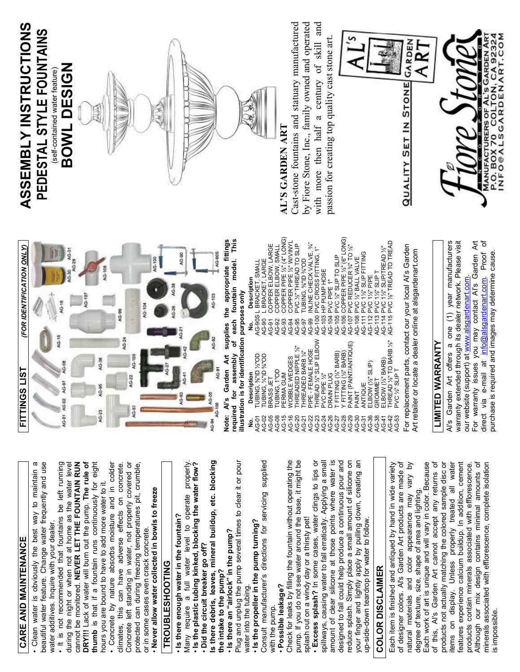# **CARE AND MAINTENANCE**  CARE AND MAINTENANCE

• Clean water is obviously the best way to maintain a beautiful water feature. Change water frequently and use beautiful water feature. Change water frequently and use Clean water is obviously the best way to maintain water additives. Inquire with your dealer. water additives. Inquire with your dealer.

• It is not recommended that fountains be left running during the night or when not at home as the water level cannot be monitored. **NEVER LET THE FOUNTAIN RUN DRY!!!** Lack of water will burn out the pump. **The rule of thumb** is that if a fountain runs continuously for eight DRY!!! Lack of water will burn out the pump. The rule of . It is not recommended that fountains be left running during the night or when not at home as the water level cannot be monitored. NEVER LET THE FOUNTAIN RUN thumb is that if a fountain runs continuously for eight hours you are bound to have to add more water to it. hours you are bound to have to add more water to it.

climates, this can have adverse effects on concrete. Concrete left standing in water, not properly covered or protected can during freezing temperatures pit, crumble, • Concrete by nature absorbs moisture and in colder Concrete left standing in water, not properly covered or protected can during freezing temperatures pit, crumble, · Concrete by nature absorbs moisture and in colder climates, this can have adverse effects on concrete. or in some cases even crack concrete. or in some cases even crack concrete.

Never allow water collected in bowls to freeze • **Never allow water collected in bowls to freeze**

## **TROUBLESHOOTING TROUBLESHOOTING**

• **Is there enough water in the fountain?**  . Is there enough water in the fountain?

Many require a full water level to operate properly. Many require a full water level to operate properly.<br>• Is the plastic tubing kinked, blocking the water flow? • **Is the plastic tubing kinked, blocking the water flow?**  Many require a full water level to operate • **Did the circuit breaker go off?**  Did the circuit breaker go off?

**Is there debris, leaves, mineral buildup, etc. blocking**  Is there debris, leaves, mineral buildup, etc. blocking **the intake to the pump?**  the intake to the pump?

. Is there an "airlock" in the pump? • **Is there an "airlock" in the pump?** 

Plug and unplug the pump several times to clear it or pour Plug and unplug the pump several times to clear it or pour water into the tubing. water into the tubing.

• **Is the propeller in the pump turning?**  . Is the propeller in the pump turning?

Consult manufacturer's directions for servicing supplied Consult manufacturer's directions for servicing supplied with the pump. with the pump.

· Possible leakage? • **Possible leakage?**

Check for leaks by filling the fountain without operating the Check for leaks by filling the fountain without operating the pump. If you do not see water around the base, it might be pump. If you do not see water around the base, it might be splash out on a windy day or a thirsty pet! splash out on a windy day or a thirsty pet!

• **Excess splash?** In some cases, water clings to lips or spillways, causing water to fall erratically. Applying a small amount of clear silicone at those points where water is designed to fall could help produce a continuous pour and reduce splash. Simply place a small amount of silicone on your finger and lightly apply by pulling down, creating an · Excess splash? In some cases, water clings to lips or amount of clear silicone at those points where water is reduce splash. Simply place a small amount of silicone on spillways, causing water to fall erratically. Applying a small designed to fall could help produce a continuous pour and your finger and lightly apply by pulling down, creating an up-side-down teardrop for water to follow. up-side-down teardrop for water to follow.

## **COLOR DISCLAIMER COLOR DISCLAIMER**

of designer colors. Al's Garden Art products are made of natural materials and color appearance may vary by Each work of art is unique and will vary in color. Because Each item is finished and antiqued by hand in wide variety degree of texture, size, shape of area and lighting.<br>Each work of art is unique and will vary in color. Because of designer colors. Al's Garden Art products are made of natural materials and color appearance may vary by Each item is finished and antiqued by hand in wide variety degree of texture, size, shape of area and lighting.

of this, Al's Garden Art cannot accept any returns of products not actually matching the colored sample disc or items on display. Unless properly treated all water features experience calcium buildup. In addition, cement products contain minerals associated with efflorescence. Although our mix design contains minimal amounts of minerals associated with efflorescence, complete isolation minerals associated with efflorescence, complete isolation products not actually matching the colored sample disc or Although our mix design contains minimal amounts of of this, Al's Garden Art cannot accept any returns of tems on display. Unless properly treated all water features experience calcium buildup. In addition, cement products contain minerals associated with efflorescence. is impossible. impossible



**Note: Al's Garden Art supplies the appropriate fittings required for assembly of each fountain model. This**  Garden Art supplies the appropriate fittings of each fountain model. This **illustration is for identification purposes only**  required for assembly Note: Al's

|       | illustration is for identification purposes only |                                                                                                   |
|-------|--------------------------------------------------|---------------------------------------------------------------------------------------------------|
| ġ     | Description                                      | Description<br>ş                                                                                  |
| AG-01 | TUBING, %"ID %"OD                                | L BRACKET, SMALL<br>AG-90S                                                                        |
| AG-02 | <b>TUBING, 1/2"ID %"OD</b>                       | BRACKET, LARGE<br>AG-90                                                                           |
| AG-05 | BRASS JET                                        | COPPER ELBOW, LARGE<br>$AG-91$                                                                    |
| AG-08 | TUBING, 1"OD                                     | COPPER ELBOW, SMALL<br>AG-92                                                                      |
| AG-15 | PERMA GUM                                        | COPPER PIPE 1/2" (4" LONG)<br>AG-93                                                               |
| AG-16 | <b><i>NOBBLE WEDGES</i></b>                      | COPPER PIPE %" WVVINYL<br>AG-94                                                                   |
| AG-20 | <b>THREADED NIPPLE 1/2"</b>                      | PVC 1/2" THREAD TO SLIP<br>AG-95                                                                  |
| AG-21 | <b>HREADED BARB X"</b>                           | <b>LUBING, %"ID %"OD</b><br>AG-97                                                                 |
| AG-22 | PIPE - FEMALE HOSE                               | <b>INLINE CHECK VALVE, %"</b><br>AG-99                                                            |
| AG-23 | THREAD %" SLIP ELBOW                             | PVC CROSS FITTING, 1"<br>AG-100                                                                   |
| AG-24 | PVC PIPE 1/2"                                    | HP PUMP HOSE<br>AG-103                                                                            |
| AG-26 | <b>DRAIN PLUG</b>                                | PVC PIPE 1"<br>AG-104                                                                             |
| AG-27 | [FITTING (%"BARB)                                | PVC 1/2" SLIP TO SLIP<br>AG-105                                                                   |
| AG-28 | FITTING (%" BARB)                                | COPPER PIPE %" (6" LONG)<br>AG-106                                                                |
| AG-29 | PAINT (PAINT/ANTOUE)                             | PVC REDUCER %" TO %"<br>AG-107                                                                    |
| AG-30 | TNING                                            | AG-108                                                                                            |
| AG-31 | ANTIQUE                                          | AG-111                                                                                            |
| AG-36 | ELBOW (%" SLIP)                                  | <b>BVC 1/2" BALL VALVE<br/>PVC 1/2" SLIP FITTING<br/>? PVC 1/2" PIPE</b><br>$\frac{2}{2}$<br>AG-1 |
| AG-38 | GROMMET                                          | PVC 1/2" SLIP T<br>AG-113                                                                         |
| AG-41 | ELBOW (%"BARB)                                   | PVC 1%" SLIP/TREAD %"<br>AG-114                                                                   |
| AG-42 | THREAD 1/2" TO BARB 1/2"                         | PVC %" TREAD TO TREAD<br>AG-115                                                                   |
| AG-53 | PVC %"SLIPT                                      |                                                                                                   |
|       |                                                  |                                                                                                   |

For replacement parts, contact our your local Al's Garden For replacement parts, contact our local Al's Garden Art retailer or locate a dealer online at alsgardenart.com Art retailer or locate a dealer online at alsgardenart.com

### **LIMITED WARRANTY** <u>LIMITED WARRANTY</u>

Al's Garden Art offers a one (1) year manufacturers warranty extended through its dealer network. Please visit For warranty issues you may contact Al's Garden Art direct via e-mail at info@alsgardenart.com. Proof of direct via e-mail at info@alsgardenart.com. Proof of Al's Garden Art offers a one (1) year manufacturers For warranty issues you may contact Al's Garden Art warranty extended through its dealer network. Please visit purchase is required and images may determine cause. purchase is required and images may determine cause. our website (support) at www.alsgardenart.com. our website (support) at www.alsgardenart.com

#### **ASSEMBLY INSTRUCTIONS**  ASSEMBLY INSTRUCTIONS PEDESTAL STYLE FOUNTAINS **PEDESTAL STYLE FOUNTAINS BOWL DESIGN**  BOWL DESIGN (self-contained water feature) self-contained water feature)



## **AL'S GARDEN ART**  AL'S GARDEN ART

Cast-stone fountains and statuary manufactured Cast-stone fountains and statuary manufactured ್ಲ d with more then half a century of skill an by Fiore Stone, Inc., family owned and operate passion for creating top quality cast stone art. passion for creating top quality cast stone art.